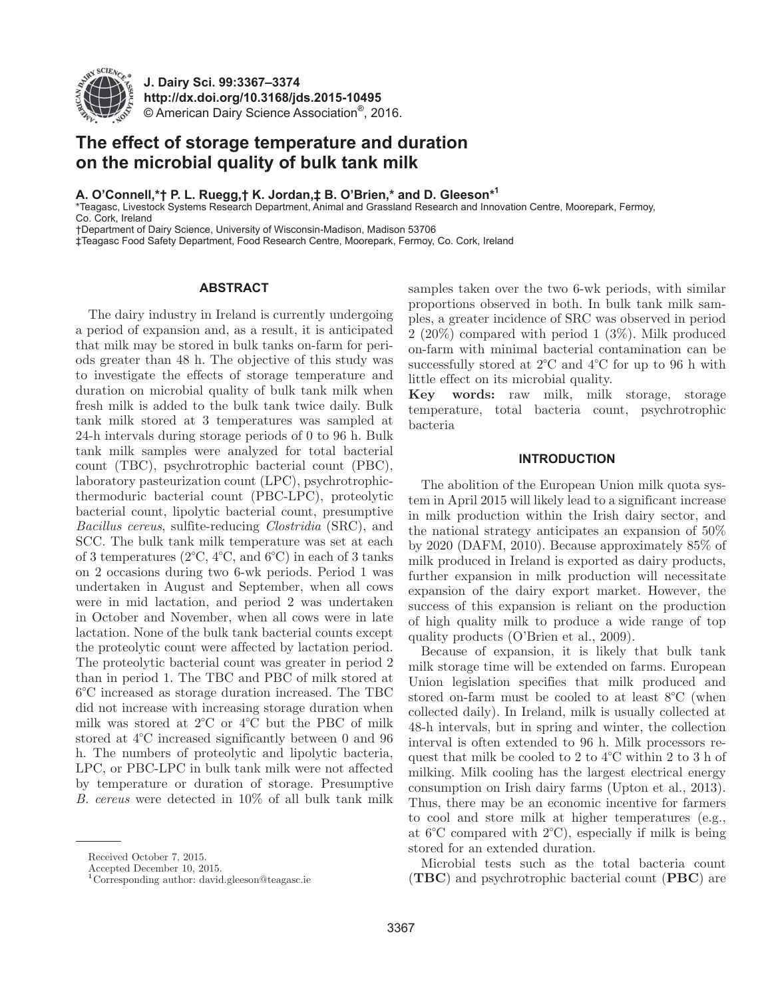

**J. Dairy Sci. 99:3367–3374 http://dx.doi.org/10.3168/jds.2015-10495** © American Dairy Science Association®, 2016.

# **The effect of storage temperature and duration on the microbial quality of bulk tank milk**

**A. O'Connell,\*† P. L. Ruegg,† K. Jordan,‡ B. O'Brien,\* and D. Gleeson\*1**

\*Teagasc, Livestock Systems Research Department, Animal and Grassland Research and Innovation Centre, Moorepark, Fermoy,

Co. Cork, Ireland

†Department of Dairy Science, University of Wisconsin-Madison, Madison 53706

‡Teagasc Food Safety Department, Food Research Centre, Moorepark, Fermoy, Co. Cork, Ireland

### **ABSTRACT**

The dairy industry in Ireland is currently undergoing a period of expansion and, as a result, it is anticipated that milk may be stored in bulk tanks on-farm for periods greater than 48 h. The objective of this study was to investigate the effects of storage temperature and duration on microbial quality of bulk tank milk when fresh milk is added to the bulk tank twice daily. Bulk tank milk stored at 3 temperatures was sampled at 24-h intervals during storage periods of 0 to 96 h. Bulk tank milk samples were analyzed for total bacterial count (TBC), psychrotrophic bacterial count (PBC), laboratory pasteurization count (LPC), psychrotrophicthermoduric bacterial count (PBC-LPC), proteolytic bacterial count, lipolytic bacterial count, presumptive *Bacillus cereus*, sulfite-reducing *Clostridia* (SRC), and SCC. The bulk tank milk temperature was set at each of 3 temperatures (2°C, 4°C, and 6°C) in each of 3 tanks on 2 occasions during two 6-wk periods. Period 1 was undertaken in August and September, when all cows were in mid lactation, and period 2 was undertaken in October and November, when all cows were in late lactation. None of the bulk tank bacterial counts except the proteolytic count were affected by lactation period. The proteolytic bacterial count was greater in period 2 than in period 1. The TBC and PBC of milk stored at 6°C increased as storage duration increased. The TBC did not increase with increasing storage duration when milk was stored at 2°C or 4°C but the PBC of milk stored at 4°C increased significantly between 0 and 96 h. The numbers of proteolytic and lipolytic bacteria, LPC, or PBC-LPC in bulk tank milk were not affected by temperature or duration of storage. Presumptive *B. cereus* were detected in 10% of all bulk tank milk samples taken over the two 6-wk periods, with similar proportions observed in both. In bulk tank milk samples, a greater incidence of SRC was observed in period 2 (20%) compared with period 1 (3%). Milk produced on-farm with minimal bacterial contamination can be successfully stored at 2°C and 4°C for up to 96 h with little effect on its microbial quality.

**Key words:** raw milk, milk storage, storage temperature, total bacteria count, psychrotrophic bacteria

#### **INTRODUCTION**

The abolition of the European Union milk quota system in April 2015 will likely lead to a significant increase in milk production within the Irish dairy sector, and the national strategy anticipates an expansion of 50% by 2020 (DAFM, 2010). Because approximately 85% of milk produced in Ireland is exported as dairy products, further expansion in milk production will necessitate expansion of the dairy export market. However, the success of this expansion is reliant on the production of high quality milk to produce a wide range of top quality products (O'Brien et al., 2009).

Because of expansion, it is likely that bulk tank milk storage time will be extended on farms. European Union legislation specifies that milk produced and stored on-farm must be cooled to at least 8°C (when collected daily). In Ireland, milk is usually collected at 48-h intervals, but in spring and winter, the collection interval is often extended to 96 h. Milk processors request that milk be cooled to 2 to 4°C within 2 to 3 h of milking. Milk cooling has the largest electrical energy consumption on Irish dairy farms (Upton et al., 2013). Thus, there may be an economic incentive for farmers to cool and store milk at higher temperatures (e.g., at 6°C compared with 2°C), especially if milk is being stored for an extended duration.

Microbial tests such as the total bacteria count (**TBC**) and psychrotrophic bacterial count (**PBC**) are

Received October 7, 2015.

Accepted December 10, 2015.

**<sup>1</sup>**Corresponding author: david.gleeson@teagasc.ie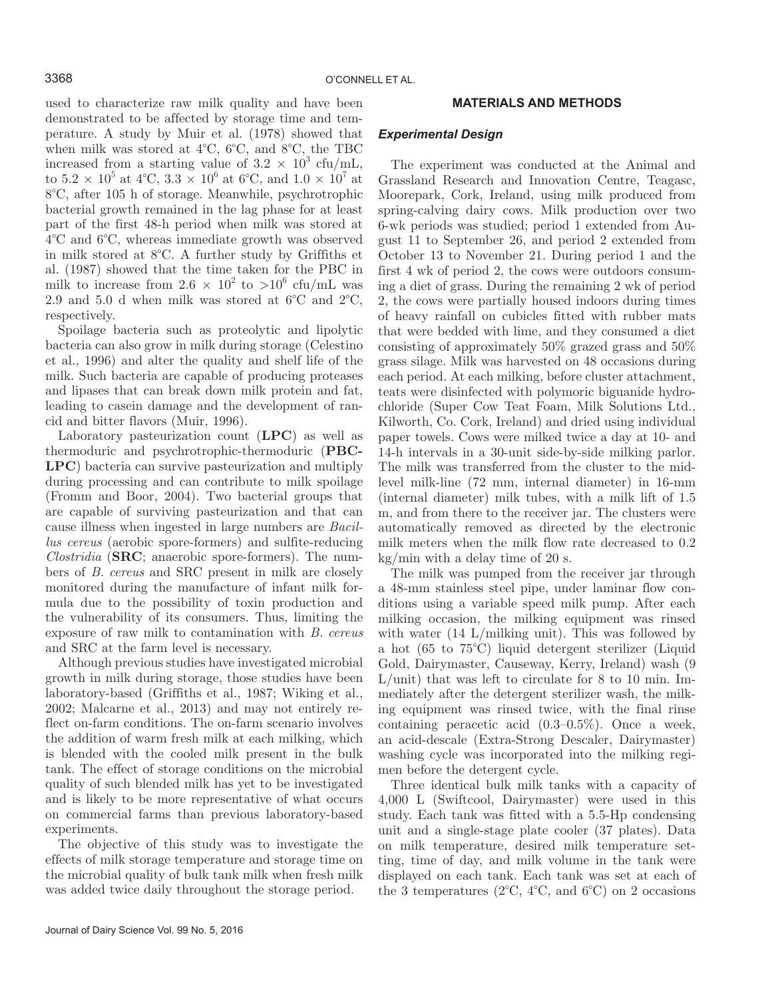used to characterize raw milk quality and have been demonstrated to be affected by storage time and temperature. A study by Muir et al. (1978) showed that when milk was stored at 4°C, 6°C, and 8°C, the TBC increased from a starting value of  $3.2 \times 10^3$  cfu/mL, to  $5.2 \times 10^5$  at  $4^{\circ}\text{C}$ ,  $3.3 \times 10^6$  at  $6^{\circ}\text{C}$ , and  $1.0 \times 10^7$  at 8°C, after 105 h of storage. Meanwhile, psychrotrophic bacterial growth remained in the lag phase for at least part of the first 48-h period when milk was stored at 4°C and 6°C, whereas immediate growth was observed in milk stored at 8°C. A further study by Griffiths et al. (1987) showed that the time taken for the PBC in milk to increase from  $2.6 \times 10^2$  to  $>10^6$  cfu/mL was 2.9 and 5.0 d when milk was stored at 6°C and 2°C, respectively.

Spoilage bacteria such as proteolytic and lipolytic bacteria can also grow in milk during storage (Celestino et al., 1996) and alter the quality and shelf life of the milk. Such bacteria are capable of producing proteases and lipases that can break down milk protein and fat, leading to casein damage and the development of rancid and bitter flavors (Muir, 1996).

Laboratory pasteurization count (**LPC**) as well as thermoduric and psychrotrophic-thermoduric (**PBC-LPC**) bacteria can survive pasteurization and multiply during processing and can contribute to milk spoilage (Fromm and Boor, 2004). Two bacterial groups that are capable of surviving pasteurization and that can cause illness when ingested in large numbers are *Bacillus cereus* (aerobic spore-formers) and sulfite-reducing *Clostridia* (**SRC**; anaerobic spore-formers). The numbers of *B. cereus* and SRC present in milk are closely monitored during the manufacture of infant milk formula due to the possibility of toxin production and the vulnerability of its consumers. Thus, limiting the exposure of raw milk to contamination with *B. cereus* and SRC at the farm level is necessary.

Although previous studies have investigated microbial growth in milk during storage, those studies have been laboratory-based (Griffiths et al., 1987; Wiking et al., 2002; Malcarne et al., 2013) and may not entirely reflect on-farm conditions. The on-farm scenario involves the addition of warm fresh milk at each milking, which is blended with the cooled milk present in the bulk tank. The effect of storage conditions on the microbial quality of such blended milk has yet to be investigated and is likely to be more representative of what occurs on commercial farms than previous laboratory-based experiments.

The objective of this study was to investigate the effects of milk storage temperature and storage time on the microbial quality of bulk tank milk when fresh milk was added twice daily throughout the storage period.

# **MATERIALS AND METHODS**

#### *Experimental Design*

The experiment was conducted at the Animal and Grassland Research and Innovation Centre, Teagasc, Moorepark, Cork, Ireland, using milk produced from spring-calving dairy cows. Milk production over two 6-wk periods was studied; period 1 extended from August 11 to September 26, and period 2 extended from October 13 to November 21. During period 1 and the first 4 wk of period 2, the cows were outdoors consuming a diet of grass. During the remaining 2 wk of period 2, the cows were partially housed indoors during times of heavy rainfall on cubicles fitted with rubber mats that were bedded with lime, and they consumed a diet consisting of approximately 50% grazed grass and 50% grass silage. Milk was harvested on 48 occasions during each period. At each milking, before cluster attachment, teats were disinfected with polymoric biguanide hydrochloride (Super Cow Teat Foam, Milk Solutions Ltd., Kilworth, Co. Cork, Ireland) and dried using individual paper towels. Cows were milked twice a day at 10- and 14-h intervals in a 30-unit side-by-side milking parlor. The milk was transferred from the cluster to the midlevel milk-line (72 mm, internal diameter) in 16-mm (internal diameter) milk tubes, with a milk lift of 1.5 m, and from there to the receiver jar. The clusters were automatically removed as directed by the electronic milk meters when the milk flow rate decreased to 0.2 kg/min with a delay time of 20 s.

The milk was pumped from the receiver jar through a 48-mm stainless steel pipe, under laminar flow conditions using a variable speed milk pump. After each milking occasion, the milking equipment was rinsed with water (14 L/milking unit). This was followed by a hot (65 to 75°C) liquid detergent sterilizer (Liquid Gold, Dairymaster, Causeway, Kerry, Ireland) wash (9 L/unit) that was left to circulate for 8 to 10 min. Immediately after the detergent sterilizer wash, the milking equipment was rinsed twice, with the final rinse containing peracetic acid (0.3–0.5%). Once a week, an acid-descale (Extra-Strong Descaler, Dairymaster) washing cycle was incorporated into the milking regimen before the detergent cycle.

Three identical bulk milk tanks with a capacity of 4,000 L (Swiftcool, Dairymaster) were used in this study. Each tank was fitted with a 5.5-Hp condensing unit and a single-stage plate cooler (37 plates). Data on milk temperature, desired milk temperature setting, time of day, and milk volume in the tank were displayed on each tank. Each tank was set at each of the 3 temperatures ( $2^{\circ}$ C,  $4^{\circ}$ C, and  $6^{\circ}$ C) on 2 occasions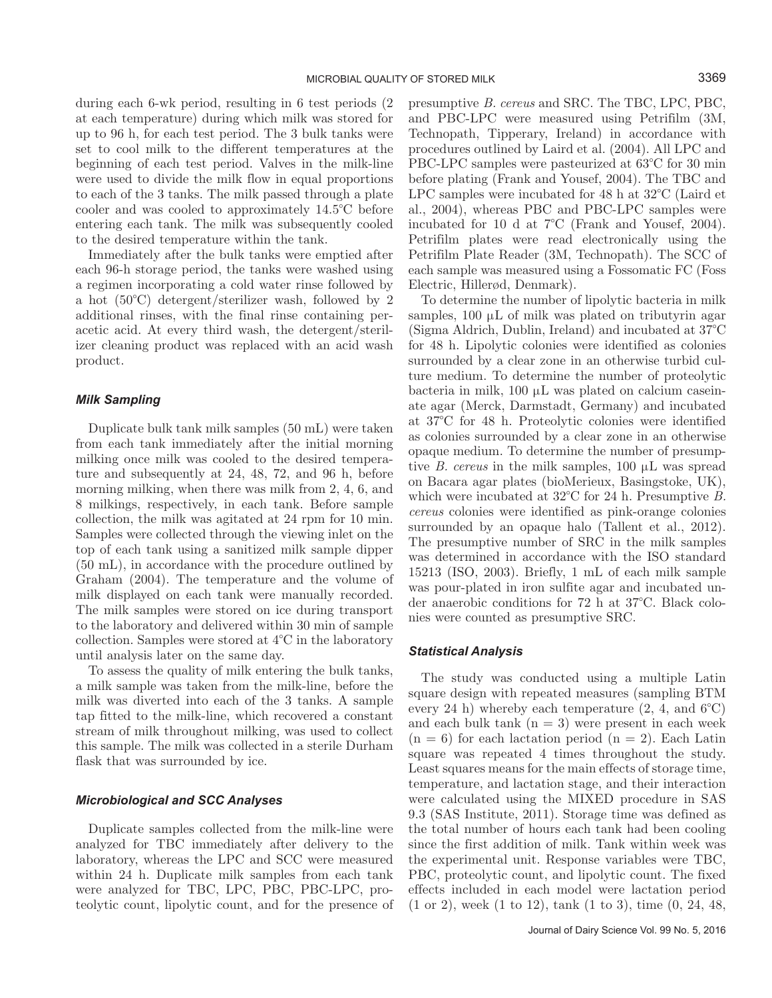during each 6-wk period, resulting in 6 test periods (2 at each temperature) during which milk was stored for up to 96 h, for each test period. The 3 bulk tanks were set to cool milk to the different temperatures at the beginning of each test period. Valves in the milk-line were used to divide the milk flow in equal proportions to each of the 3 tanks. The milk passed through a plate cooler and was cooled to approximately 14.5°C before entering each tank. The milk was subsequently cooled to the desired temperature within the tank.

Immediately after the bulk tanks were emptied after each 96-h storage period, the tanks were washed using a regimen incorporating a cold water rinse followed by a hot (50°C) detergent/sterilizer wash, followed by 2 additional rinses, with the final rinse containing peracetic acid. At every third wash, the detergent/sterilizer cleaning product was replaced with an acid wash product.

#### *Milk Sampling*

Duplicate bulk tank milk samples (50 mL) were taken from each tank immediately after the initial morning milking once milk was cooled to the desired temperature and subsequently at 24, 48, 72, and 96 h, before morning milking, when there was milk from 2, 4, 6, and 8 milkings, respectively, in each tank. Before sample collection, the milk was agitated at 24 rpm for 10 min. Samples were collected through the viewing inlet on the top of each tank using a sanitized milk sample dipper (50 mL), in accordance with the procedure outlined by Graham (2004). The temperature and the volume of milk displayed on each tank were manually recorded. The milk samples were stored on ice during transport to the laboratory and delivered within 30 min of sample collection. Samples were stored at 4°C in the laboratory until analysis later on the same day.

To assess the quality of milk entering the bulk tanks, a milk sample was taken from the milk-line, before the milk was diverted into each of the 3 tanks. A sample tap fitted to the milk-line, which recovered a constant stream of milk throughout milking, was used to collect this sample. The milk was collected in a sterile Durham flask that was surrounded by ice.

### *Microbiological and SCC Analyses*

Duplicate samples collected from the milk-line were analyzed for TBC immediately after delivery to the laboratory, whereas the LPC and SCC were measured within 24 h. Duplicate milk samples from each tank were analyzed for TBC, LPC, PBC, PBC-LPC, proteolytic count, lipolytic count, and for the presence of presumptive *B. cereus* and SRC. The TBC, LPC, PBC, and PBC-LPC were measured using Petrifilm (3M, Technopath, Tipperary, Ireland) in accordance with procedures outlined by Laird et al. (2004). All LPC and PBC-LPC samples were pasteurized at 63°C for 30 min before plating (Frank and Yousef, 2004). The TBC and LPC samples were incubated for 48 h at 32°C (Laird et al., 2004), whereas PBC and PBC-LPC samples were incubated for 10 d at 7°C (Frank and Yousef, 2004). Petrifilm plates were read electronically using the Petrifilm Plate Reader (3M, Technopath). The SCC of each sample was measured using a Fossomatic FC (Foss Electric, Hillerød, Denmark).

To determine the number of lipolytic bacteria in milk samples, 100 μL of milk was plated on tributyrin agar (Sigma Aldrich, Dublin, Ireland) and incubated at 37°C for 48 h. Lipolytic colonies were identified as colonies surrounded by a clear zone in an otherwise turbid culture medium. To determine the number of proteolytic bacteria in milk, 100 μL was plated on calcium caseinate agar (Merck, Darmstadt, Germany) and incubated at 37°C for 48 h. Proteolytic colonies were identified as colonies surrounded by a clear zone in an otherwise opaque medium. To determine the number of presumptive *B. cereus* in the milk samples, 100 μL was spread on Bacara agar plates (bioMerieux, Basingstoke, UK), which were incubated at 32°C for 24 h. Presumptive *B. cereus* colonies were identified as pink-orange colonies surrounded by an opaque halo (Tallent et al., 2012). The presumptive number of SRC in the milk samples was determined in accordance with the ISO standard 15213 (ISO, 2003). Briefly, 1 mL of each milk sample was pour-plated in iron sulfite agar and incubated under anaerobic conditions for 72 h at 37°C. Black colonies were counted as presumptive SRC.

#### *Statistical Analysis*

The study was conducted using a multiple Latin square design with repeated measures (sampling BTM every 24 h) whereby each temperature  $(2, 4, \text{ and } 6^{\circ}\text{C})$ and each bulk tank  $(n = 3)$  were present in each week  $(n = 6)$  for each lactation period  $(n = 2)$ . Each Latin square was repeated 4 times throughout the study. Least squares means for the main effects of storage time, temperature, and lactation stage, and their interaction were calculated using the MIXED procedure in SAS 9.3 (SAS Institute, 2011). Storage time was defined as the total number of hours each tank had been cooling since the first addition of milk. Tank within week was the experimental unit. Response variables were TBC, PBC, proteolytic count, and lipolytic count. The fixed effects included in each model were lactation period (1 or 2), week (1 to 12), tank (1 to 3), time (0, 24, 48,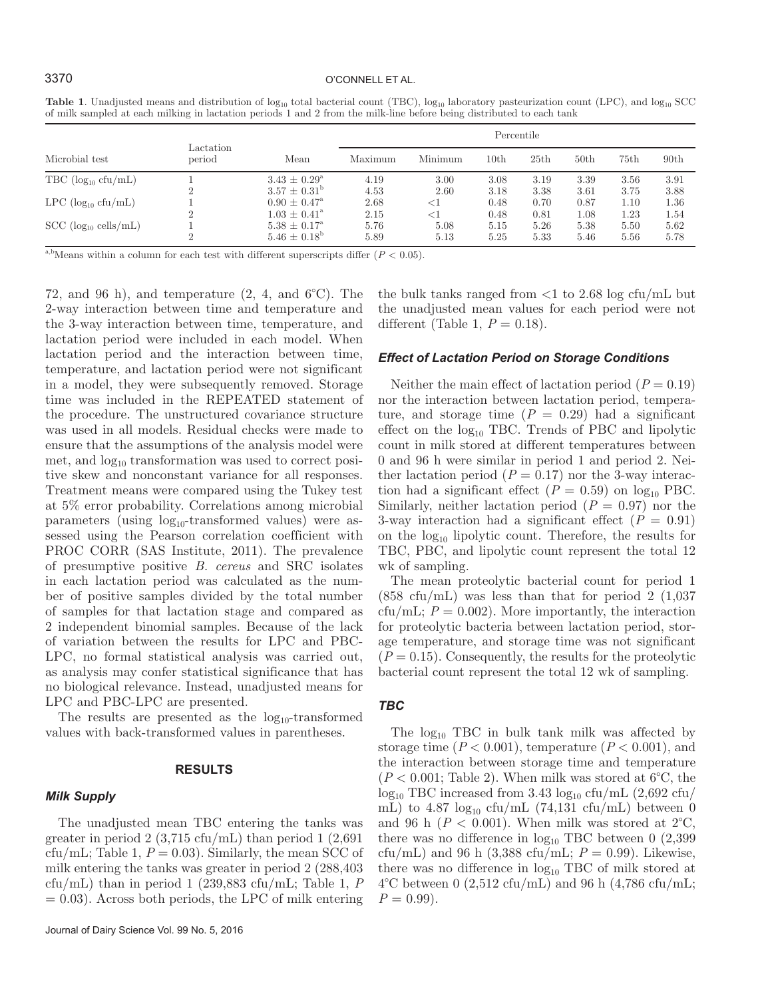|                                    |                     |                         |         | Percentile |      |      |                  |      |                  |
|------------------------------------|---------------------|-------------------------|---------|------------|------|------|------------------|------|------------------|
| Microbial test                     | Lactation<br>period | Mean                    | Maximum | Minimum    | 10th | 25th | 50 <sub>th</sub> | 75th | 90 <sub>th</sub> |
| $TBC (log_{10} cfu/mL)$            |                     | $3.43 \pm 0.29^{\circ}$ | 4.19    | 3.00       | 3.08 | 3.19 | 3.39             | 3.56 | 3.91             |
|                                    | $\Omega$            | $3.57 \pm 0.31^{\circ}$ | 4.53    | 2.60       | 3.18 | 3.38 | 3.61             | 3.75 | 3.88             |
| $LPC$ (log <sub>10</sub> cfu/mL)   |                     | $0.90 \pm 0.47^{\circ}$ | 2.68    | <1         | 0.48 | 0.70 | 0.87             | 1.10 | 1.36             |
|                                    | $\Omega$            | $1.03 \pm 0.41^{\circ}$ | 2.15    | $<$ 1      | 0.48 | 0.81 | 1.08             | 1.23 | 1.54             |
| $SCC$ (log <sub>10</sub> cells/mL) |                     | $5.38 \pm 0.17^{\circ}$ | 5.76    | 5.08       | 5.15 | 5.26 | 5.38             | 5.50 | 5.62             |
|                                    | $\Omega$            | $5.46 \pm 0.18^{\circ}$ | 5.89    | 5.13       | 5.25 | 5.33 | 5.46             | 5.56 | 5.78             |

**Table 1**. Unadjusted means and distribution of log<sub>10</sub> total bacterial count (TBC), log<sub>10</sub> laboratory pasteurization count (LPC), and log<sub>10</sub> SCC of milk sampled at each milking in lactation periods 1 and 2 from the milk-line before being distributed to each tank

<sup>a,b</sup>Means within a column for each test with different superscripts differ  $(P < 0.05)$ .

72, and 96 h), and temperature  $(2, 4, \text{ and } 6^{\circ}\text{C})$ . The 2-way interaction between time and temperature and the 3-way interaction between time, temperature, and lactation period were included in each model. When lactation period and the interaction between time, temperature, and lactation period were not significant in a model, they were subsequently removed. Storage time was included in the REPEATED statement of the procedure. The unstructured covariance structure was used in all models. Residual checks were made to ensure that the assumptions of the analysis model were met, and  $log_{10}$  transformation was used to correct positive skew and nonconstant variance for all responses. Treatment means were compared using the Tukey test at 5% error probability. Correlations among microbial parameters (using  $log_{10}$ -transformed values) were assessed using the Pearson correlation coefficient with PROC CORR (SAS Institute, 2011). The prevalence of presumptive positive *B. cereus* and SRC isolates in each lactation period was calculated as the number of positive samples divided by the total number of samples for that lactation stage and compared as 2 independent binomial samples. Because of the lack of variation between the results for LPC and PBC-LPC, no formal statistical analysis was carried out, as analysis may confer statistical significance that has no biological relevance. Instead, unadjusted means for LPC and PBC-LPC are presented.

The results are presented as the  $log_{10}$ -transformed values with back-transformed values in parentheses.

# **RESULTS**

# *Milk Supply*

The unadjusted mean TBC entering the tanks was greater in period  $2(3.715 \text{ cftu/mL})$  than period  $1(2.691$ cfu/mL; Table 1,  $P = 0.03$ ). Similarly, the mean SCC of milk entering the tanks was greater in period 2 (288,403 cfu/mL) than in period 1 (239,883 cfu/mL; Table 1, *P*  $= 0.03$ ). Across both periods, the LPC of milk entering

the bulk tanks ranged from  $\langle 1 \text{ to } 2.68 \text{ log cftu/mL} \rangle$ the unadjusted mean values for each period were not different (Table 1,  $P = 0.18$ ).

#### *Effect of Lactation Period on Storage Conditions*

Neither the main effect of lactation period  $(P = 0.19)$ nor the interaction between lactation period, temperature, and storage time  $(P = 0.29)$  had a significant effect on the  $log_{10}$  TBC. Trends of PBC and lipolytic count in milk stored at different temperatures between 0 and 96 h were similar in period 1 and period 2. Neither lactation period  $(P = 0.17)$  nor the 3-way interaction had a significant effect  $(P = 0.59)$  on log<sub>10</sub> PBC. Similarly, neither lactation period  $(P = 0.97)$  nor the 3-way interaction had a significant effect  $(P = 0.91)$ on the  $log_{10}$  lipolytic count. Therefore, the results for TBC, PBC, and lipolytic count represent the total 12 wk of sampling.

The mean proteolytic bacterial count for period 1  $(858 \text{ cfu/mL})$  was less than that for period 2  $(1,037)$ cfu/mL;  $P = 0.002$ ). More importantly, the interaction for proteolytic bacteria between lactation period, storage temperature, and storage time was not significant  $(P = 0.15)$ . Consequently, the results for the proteolytic bacterial count represent the total 12 wk of sampling.

# *TBC*

The  $log_{10}$  TBC in bulk tank milk was affected by storage time  $(P < 0.001)$ , temperature  $(P < 0.001)$ , and the interaction between storage time and temperature  $(P < 0.001$ ; Table 2). When milk was stored at 6<sup>°</sup>C, the  $log_{10}$  TBC increased from 3.43  $log_{10}$  cfu/mL (2,692 cfu/ mL) to 4.87  $log_{10}$  cfu/mL (74,131 cfu/mL) between 0 and 96 h ( $P < 0.001$ ). When milk was stored at  $2^{\circ}C$ , there was no difference in  $log_{10}$  TBC between 0 (2,399) cfu/mL) and 96 h (3,388 cfu/mL;  $P = 0.99$ ). Likewise, there was no difference in  $log_{10}$  TBC of milk stored at  $4^{\circ}$ C between 0 (2,512 cfu/mL) and 96 h (4,786 cfu/mL;  $P = 0.99$ .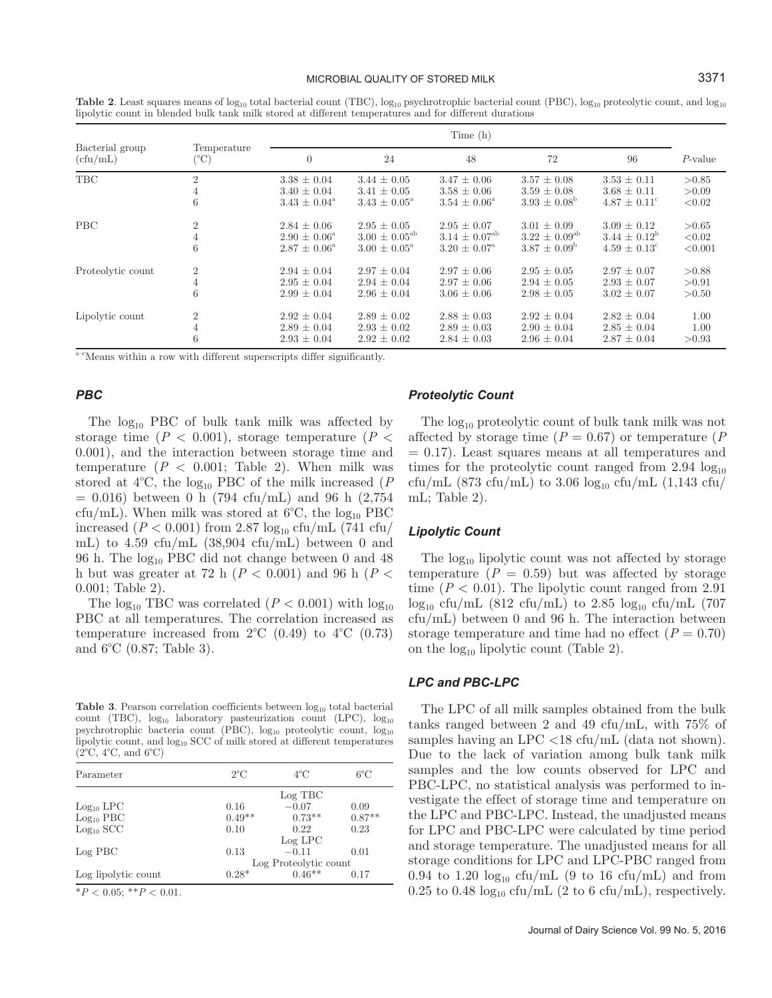#### MICROBIAL QUALITY OF STORED MILK 3371

**Table 2**. Least squares means of  $log_{10}$  total bacterial count (TBC),  $log_{10}$  psychrotrophic bacterial count (PBC),  $log_{10}$  proteolytic count, and  $log_{10}$ lipolytic count in blended bulk tank milk stored at different temperatures and for different durations

|                             |                                     | Time (h)                |                             |                          |                             |                         |            |
|-----------------------------|-------------------------------------|-------------------------|-----------------------------|--------------------------|-----------------------------|-------------------------|------------|
| Bacterial group<br>(cfu/mL) | Temperature<br>$(^\circ\mathrm{C})$ | $\overline{0}$          | 24                          | 48                       | 72                          | 96                      | $P$ -value |
| <b>TBC</b>                  | $\overline{2}$                      | $3.38 \pm 0.04$         | $3.44 \pm 0.05$             | $3.47 \pm 0.06$          | $3.57 \pm 0.08$             | $3.53 \pm 0.11$         | > 0.85     |
|                             |                                     | $3.40 \pm 0.04$         | $3.41 \pm 0.05$             | $3.58 \pm 0.06$          | $3.59 \pm 0.08$             | $3.68 \pm 0.11$         | > 0.09     |
|                             | 6                                   | $3.43 \pm 0.04^{\circ}$ | $3.43 \pm 0.05^{\circ}$     | $3.54 \pm 0.06^{\circ}$  | $3.93 \pm 0.08^{\rm b}$     | $4.87 \pm 0.11^{\circ}$ | < 0.02     |
| <b>PBC</b>                  | $\overline{2}$                      | $2.84 \pm 0.06$         | $2.95 \pm 0.05$             | $2.95 \pm 0.07$          | $3.01 \pm 0.09$             | $3.09 \pm 0.12$         | > 0.65     |
|                             | 4                                   | $2.90 \pm 0.06^{\circ}$ | $3.00 \pm 0.05^{\text{ab}}$ | $3.14 \pm 0.07^{\rm ab}$ | $3.22 \pm 0.09^{\text{ab}}$ | $3.44 \pm 0.12^{\circ}$ | < 0.02     |
|                             | 6                                   | $2.87 \pm 0.06^{\circ}$ | $3.00 \pm 0.05^{\circ}$     | $3.20 \pm 0.07^{\circ}$  | $3.87 \pm 0.09^{\rm b}$     | $4.59 \pm 0.13^{\circ}$ | < 0.001    |
| Proteolytic count           | $\overline{2}$                      | $2.94 \pm 0.04$         | $2.97 \pm 0.04$             | $2.97 \pm 0.06$          | $2.95 \pm 0.05$             | $2.97 \pm 0.07$         | > 0.88     |
|                             | 4                                   | $2.95 \pm 0.04$         | $2.94 \pm 0.04$             | $2.97 \pm 0.06$          | $2.94 \pm 0.05$             | $2.93 \pm 0.07$         | > 0.91     |
|                             | 6                                   | $2.99 \pm 0.04$         | $2.96 \pm 0.04$             | $3.06 \pm 0.06$          | $2.98 \pm 0.05$             | $3.02 \pm 0.07$         | > 0.50     |
| Lipolytic count             | $\overline{2}$                      | $2.92 \pm 0.04$         | $2.89 \pm 0.02$             | $2.88 \pm 0.03$          | $2.92 \pm 0.04$             | $2.82 \pm 0.04$         | 1.00       |
|                             | 4                                   | $2.89 \pm 0.04$         | $2.93 \pm 0.02$             | $2.89 \pm 0.03$          | $2.90 \pm 0.04$             | $2.85 \pm 0.04$         | 1.00       |
|                             | 6                                   | $2.93 \pm 0.04$         | $2.92 \pm 0.02$             | $2.84 \pm 0.03$          | $2.96 \pm 0.04$             | $2.87 \pm 0.04$         | > 0.93     |

<sup>a-c</sup>Means within a row with different superscripts differ significantly.

# *PBC*

The  $log_{10}$  PBC of bulk tank milk was affected by storage time  $(P < 0.001)$ , storage temperature  $(P <$ 0.001), and the interaction between storage time and temperature  $(P < 0.001$ ; Table 2). When milk was stored at  $4^{\circ}\text{C}$ , the log<sub>10</sub> PBC of the milk increased (*P*  $= 0.016$ ) between 0 h (794 cfu/mL) and 96 h (2,754 cfu/mL). When milk was stored at  $6^{\circ}$ C, the log<sub>10</sub> PBC increased ( $P < 0.001$ ) from 2.87  $\log_{10}$  cfu/mL (741 cfu/ mL) to 4.59 cfu/mL (38,904 cfu/mL) between 0 and 96 h. The  $log_{10}$  PBC did not change between 0 and 48 h but was greater at 72 h (*P* < 0.001) and 96 h (*P* < 0.001; Table 2).

The  $log_{10}$  TBC was correlated ( $P < 0.001$ ) with  $log_{10}$ PBC at all temperatures. The correlation increased as temperature increased from  $2^{\circ}C$  (0.49) to  $4^{\circ}C$  (0.73) and 6°C (0.87; Table 3).

**Table 3**. Pearson correlation coefficients between  $log_{10}$  total bacterial count (TBC),  $log_{10}$  laboratory pasteurization count (LPC),  $log_{10}$ psychrotrophic bacteria count  $\vec{PBC}$ ), log<sub>10</sub> proteolytic count, log<sub>10</sub> lipolytic count, and  $log_{10}$  SCC of milk stored at different temperatures  $(2^{\circ}C, 4^{\circ}C, \text{ and } 6^{\circ}C)$ 

| Parameter                   | $2^{\circ}C$          | $4^{\circ}$ C | $6^{\circ}$ C |  |  |
|-----------------------------|-----------------------|---------------|---------------|--|--|
|                             |                       | Log TBC       |               |  |  |
| $Log10$ LPC                 | 0.16                  | $-0.07$       | 0.09          |  |  |
| Log <sub>10</sub> PBC       | $0.49**$              | $0.73**$      | $0.87**$      |  |  |
| $Log10$ SCC                 | 0.10                  | 0.22          | 0.23          |  |  |
|                             |                       | $Log$ LPC     |               |  |  |
| Log PBC                     | 0.13                  | $-0.11$       | 0.01          |  |  |
|                             | Log Proteolytic count |               |               |  |  |
| Log lipolytic count         | $0.28*$               | $0.46**$      | 0.17          |  |  |
| $*P < 0.05$ ; $*P < 0.01$ . |                       |               |               |  |  |

#### *Proteolytic Count*

The log<sub>10</sub> proteolytic count of bulk tank milk was not affected by storage time  $(P = 0.67)$  or temperature  $(P)$  $= 0.17$ ). Least squares means at all temperatures and times for the proteolytic count ranged from  $2.94 \log_{10}$ cfu/mL (873 cfu/mL) to 3.06  $log_{10}$  cfu/mL (1,143 cfu/ mL; Table 2).

#### *Lipolytic Count*

The  $log_{10}$  lipolytic count was not affected by storage temperature  $(P = 0.59)$  but was affected by storage time  $(P < 0.01)$ . The lipolytic count ranged from 2.91  $\log_{10}$  cfu/mL (812 cfu/mL) to 2.85  $\log_{10}$  cfu/mL (707 cfu/mL) between 0 and 96 h. The interaction between storage temperature and time had no effect  $(P = 0.70)$ on the  $log_{10}$  lipolytic count (Table 2).

# *LPC and PBC-LPC*

The LPC of all milk samples obtained from the bulk tanks ranged between 2 and 49 cfu/mL, with 75% of samples having an LPC <18 cfu/mL (data not shown). Due to the lack of variation among bulk tank milk samples and the low counts observed for LPC and PBC-LPC, no statistical analysis was performed to investigate the effect of storage time and temperature on the LPC and PBC-LPC. Instead, the unadjusted means for LPC and PBC-LPC were calculated by time period and storage temperature. The unadjusted means for all storage conditions for LPC and LPC-PBC ranged from 0.94 to 1.20  $log_{10}$  cfu/mL (9 to 16 cfu/mL) and from 0.25 to 0.48  $\log_{10}$  cfu/mL (2 to 6 cfu/mL), respectively.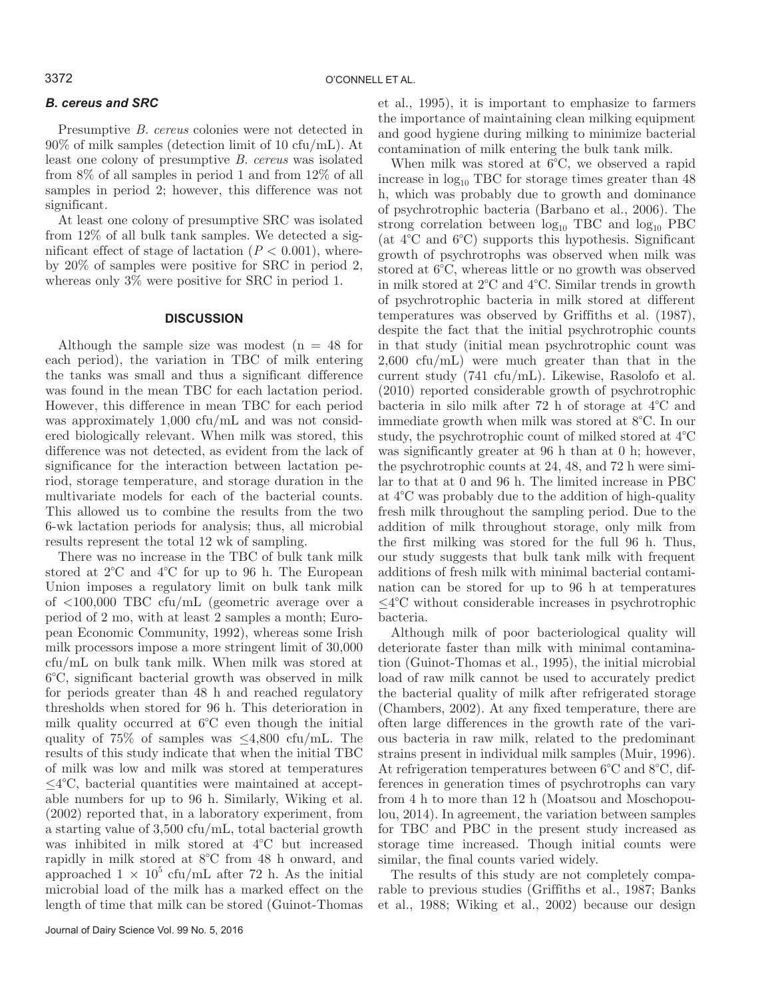# *B. cereus and SRC*

Presumptive *B. cereus* colonies were not detected in 90% of milk samples (detection limit of 10 cfu/mL). At least one colony of presumptive *B. cereus* was isolated from 8% of all samples in period 1 and from 12% of all samples in period 2; however, this difference was not significant.

At least one colony of presumptive SRC was isolated from 12% of all bulk tank samples. We detected a significant effect of stage of lactation  $(P < 0.001)$ , whereby 20% of samples were positive for SRC in period 2, whereas only 3% were positive for SRC in period 1.

# **DISCUSSION**

Although the sample size was modest  $(n = 48$  for each period), the variation in TBC of milk entering the tanks was small and thus a significant difference was found in the mean TBC for each lactation period. However, this difference in mean TBC for each period was approximately 1,000 cfu/mL and was not considered biologically relevant. When milk was stored, this difference was not detected, as evident from the lack of significance for the interaction between lactation period, storage temperature, and storage duration in the multivariate models for each of the bacterial counts. This allowed us to combine the results from the two 6-wk lactation periods for analysis; thus, all microbial results represent the total 12 wk of sampling.

There was no increase in the TBC of bulk tank milk stored at 2°C and 4°C for up to 96 h. The European Union imposes a regulatory limit on bulk tank milk of <100,000 TBC cfu/mL (geometric average over a period of 2 mo, with at least 2 samples a month; European Economic Community, 1992), whereas some Irish milk processors impose a more stringent limit of 30,000 cfu/mL on bulk tank milk. When milk was stored at 6°C, significant bacterial growth was observed in milk for periods greater than 48 h and reached regulatory thresholds when stored for 96 h. This deterioration in milk quality occurred at 6°C even though the initial quality of 75% of samples was  $\leq 4,800$  cfu/mL. The results of this study indicate that when the initial TBC of milk was low and milk was stored at temperatures ≤4°C, bacterial quantities were maintained at acceptable numbers for up to 96 h. Similarly, Wiking et al. (2002) reported that, in a laboratory experiment, from a starting value of 3,500 cfu/mL, total bacterial growth was inhibited in milk stored at 4°C but increased rapidly in milk stored at 8°C from 48 h onward, and approached  $1 \times 10^5$  cfu/mL after 72 h. As the initial microbial load of the milk has a marked effect on the length of time that milk can be stored (Guinot-Thomas

Journal of Dairy Science Vol. 99 No. 5, 2016

et al., 1995), it is important to emphasize to farmers the importance of maintaining clean milking equipment and good hygiene during milking to minimize bacterial contamination of milk entering the bulk tank milk.

When milk was stored at 6°C, we observed a rapid increase in  $log_{10}$  TBC for storage times greater than  $48$ h, which was probably due to growth and dominance of psychrotrophic bacteria (Barbano et al., 2006). The strong correlation between  $log_{10}$  TBC and  $log_{10}$  PBC (at 4°C and 6°C) supports this hypothesis. Significant growth of psychrotrophs was observed when milk was stored at 6°C, whereas little or no growth was observed in milk stored at 2°C and 4°C. Similar trends in growth of psychrotrophic bacteria in milk stored at different temperatures was observed by Griffiths et al. (1987), despite the fact that the initial psychrotrophic counts in that study (initial mean psychrotrophic count was 2,600 cfu/mL) were much greater than that in the current study (741 cfu/mL). Likewise, Rasolofo et al. (2010) reported considerable growth of psychrotrophic bacteria in silo milk after 72 h of storage at 4°C and immediate growth when milk was stored at 8°C. In our study, the psychrotrophic count of milked stored at 4°C was significantly greater at 96 h than at 0 h; however, the psychrotrophic counts at 24, 48, and 72 h were similar to that at 0 and 96 h. The limited increase in PBC at 4°C was probably due to the addition of high-quality fresh milk throughout the sampling period. Due to the addition of milk throughout storage, only milk from the first milking was stored for the full 96 h. Thus, our study suggests that bulk tank milk with frequent additions of fresh milk with minimal bacterial contamination can be stored for up to 96 h at temperatures ≤4°C without considerable increases in psychrotrophic bacteria.

Although milk of poor bacteriological quality will deteriorate faster than milk with minimal contamination (Guinot-Thomas et al., 1995), the initial microbial load of raw milk cannot be used to accurately predict the bacterial quality of milk after refrigerated storage (Chambers, 2002). At any fixed temperature, there are often large differences in the growth rate of the various bacteria in raw milk, related to the predominant strains present in individual milk samples (Muir, 1996). At refrigeration temperatures between 6°C and 8°C, differences in generation times of psychrotrophs can vary from 4 h to more than 12 h (Moatsou and Moschopoulou, 2014). In agreement, the variation between samples for TBC and PBC in the present study increased as storage time increased. Though initial counts were similar, the final counts varied widely.

The results of this study are not completely comparable to previous studies (Griffiths et al., 1987; Banks et al., 1988; Wiking et al., 2002) because our design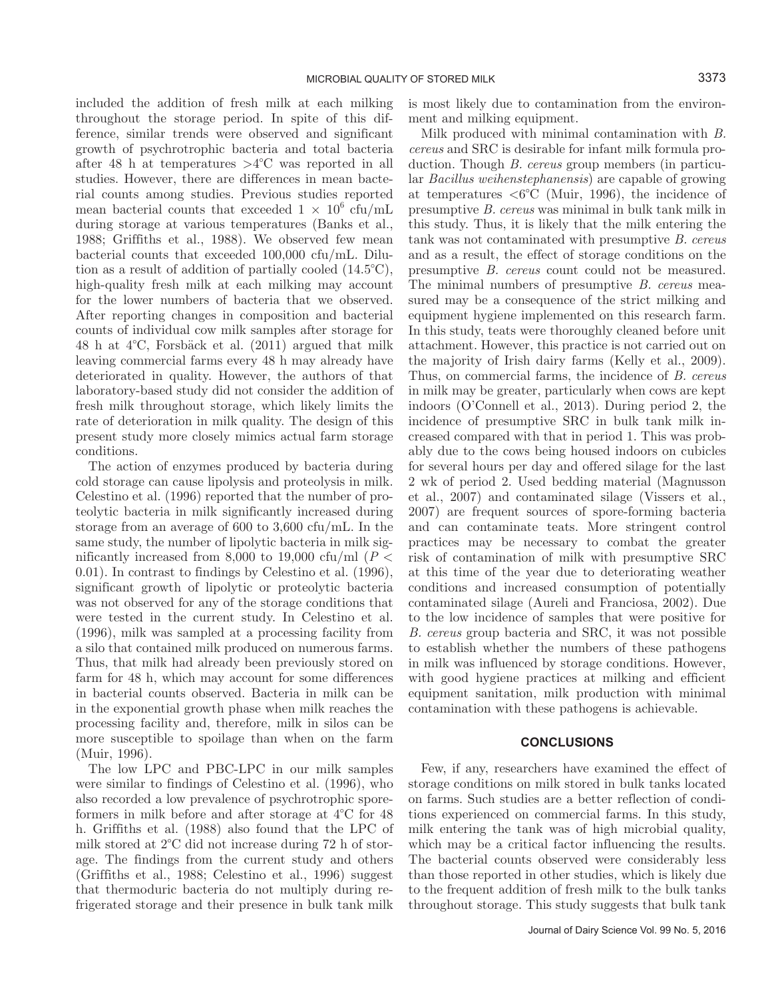included the addition of fresh milk at each milking throughout the storage period. In spite of this difference, similar trends were observed and significant growth of psychrotrophic bacteria and total bacteria after 48 h at temperatures  $>4^{\circ}$ C was reported in all studies. However, there are differences in mean bacterial counts among studies. Previous studies reported mean bacterial counts that exceeded  $1 \times 10^6$  cfu/mL during storage at various temperatures (Banks et al., 1988; Griffiths et al., 1988). We observed few mean bacterial counts that exceeded 100,000 cfu/mL. Dilution as a result of addition of partially cooled (14.5°C), high-quality fresh milk at each milking may account for the lower numbers of bacteria that we observed. After reporting changes in composition and bacterial counts of individual cow milk samples after storage for 48 h at 4°C, Forsbäck et al. (2011) argued that milk leaving commercial farms every 48 h may already have deteriorated in quality. However, the authors of that laboratory-based study did not consider the addition of fresh milk throughout storage, which likely limits the rate of deterioration in milk quality. The design of this present study more closely mimics actual farm storage conditions.

The action of enzymes produced by bacteria during cold storage can cause lipolysis and proteolysis in milk. Celestino et al. (1996) reported that the number of proteolytic bacteria in milk significantly increased during storage from an average of 600 to 3,600 cfu/mL. In the same study, the number of lipolytic bacteria in milk significantly increased from 8,000 to 19,000 cfu/ml ( $P <$ 0.01). In contrast to findings by Celestino et al. (1996), significant growth of lipolytic or proteolytic bacteria was not observed for any of the storage conditions that were tested in the current study. In Celestino et al. (1996), milk was sampled at a processing facility from a silo that contained milk produced on numerous farms. Thus, that milk had already been previously stored on farm for 48 h, which may account for some differences in bacterial counts observed. Bacteria in milk can be in the exponential growth phase when milk reaches the processing facility and, therefore, milk in silos can be more susceptible to spoilage than when on the farm (Muir, 1996).

The low LPC and PBC-LPC in our milk samples were similar to findings of Celestino et al. (1996), who also recorded a low prevalence of psychrotrophic sporeformers in milk before and after storage at 4°C for 48 h. Griffiths et al. (1988) also found that the LPC of milk stored at 2°C did not increase during 72 h of storage. The findings from the current study and others (Griffiths et al., 1988; Celestino et al., 1996) suggest that thermoduric bacteria do not multiply during refrigerated storage and their presence in bulk tank milk is most likely due to contamination from the environment and milking equipment.

Milk produced with minimal contamination with *B. cereus* and SRC is desirable for infant milk formula production. Though *B. cereus* group members (in particular *Bacillus weihenstephanensis*) are capable of growing at temperatures  $<6^{\circ}\text{C}$  (Muir, 1996), the incidence of presumptive *B. cereus* was minimal in bulk tank milk in this study. Thus, it is likely that the milk entering the tank was not contaminated with presumptive *B. cereus* and as a result, the effect of storage conditions on the presumptive *B. cereus* count could not be measured. The minimal numbers of presumptive *B. cereus* measured may be a consequence of the strict milking and equipment hygiene implemented on this research farm. In this study, teats were thoroughly cleaned before unit attachment. However, this practice is not carried out on the majority of Irish dairy farms (Kelly et al., 2009). Thus, on commercial farms, the incidence of *B. cereus* in milk may be greater, particularly when cows are kept indoors (O'Connell et al., 2013). During period 2, the incidence of presumptive SRC in bulk tank milk increased compared with that in period 1. This was probably due to the cows being housed indoors on cubicles for several hours per day and offered silage for the last 2 wk of period 2. Used bedding material (Magnusson et al., 2007) and contaminated silage (Vissers et al., 2007) are frequent sources of spore-forming bacteria and can contaminate teats. More stringent control practices may be necessary to combat the greater risk of contamination of milk with presumptive SRC at this time of the year due to deteriorating weather conditions and increased consumption of potentially contaminated silage (Aureli and Franciosa, 2002). Due to the low incidence of samples that were positive for *B. cereus* group bacteria and SRC, it was not possible to establish whether the numbers of these pathogens in milk was influenced by storage conditions. However, with good hygiene practices at milking and efficient equipment sanitation, milk production with minimal contamination with these pathogens is achievable.

## **CONCLUSIONS**

Few, if any, researchers have examined the effect of storage conditions on milk stored in bulk tanks located on farms. Such studies are a better reflection of conditions experienced on commercial farms. In this study, milk entering the tank was of high microbial quality, which may be a critical factor influencing the results. The bacterial counts observed were considerably less than those reported in other studies, which is likely due to the frequent addition of fresh milk to the bulk tanks throughout storage. This study suggests that bulk tank